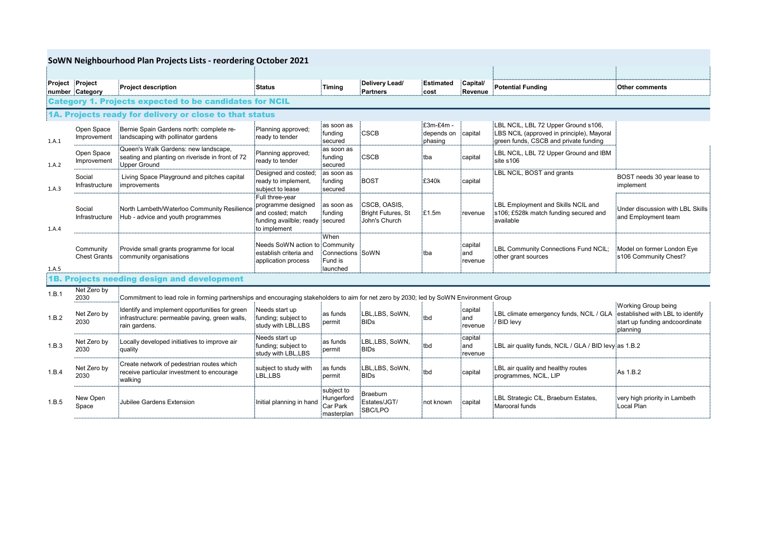|                                                                |                                  | SoWN Neighbourhood Plan Projects Lists - reordering October 2021                                                                             |                                                                                                               |                                                      |                                                             |                                    |                                        |                                                                                                                           |                                                                                                        |  |  |
|----------------------------------------------------------------|----------------------------------|----------------------------------------------------------------------------------------------------------------------------------------------|---------------------------------------------------------------------------------------------------------------|------------------------------------------------------|-------------------------------------------------------------|------------------------------------|----------------------------------------|---------------------------------------------------------------------------------------------------------------------------|--------------------------------------------------------------------------------------------------------|--|--|
| Project Project                                                | number Category                  | Project description                                                                                                                          | <b>Status</b>                                                                                                 | Timing                                               | Delivery Lead/<br>Partners                                  | ∶Estimated<br>cost                 | Capital/<br>Revenue                    | <b>Potential Funding</b>                                                                                                  | <b>Other comments</b>                                                                                  |  |  |
| <b>Category 1. Projects expected to be candidates for NCIL</b> |                                  |                                                                                                                                              |                                                                                                               |                                                      |                                                             |                                    |                                        |                                                                                                                           |                                                                                                        |  |  |
| 1A. Projects ready for delivery or close to that status        |                                  |                                                                                                                                              |                                                                                                               |                                                      |                                                             |                                    |                                        |                                                                                                                           |                                                                                                        |  |  |
| 1.A.1                                                          | Open Space<br>Improvement        | Bernie Spain Gardens north: complete re-<br>landscaping with pollinator gardens                                                              | Planning approved;<br>ready to tender                                                                         | as soon as<br>:funding<br>secured:                   | :cscb                                                       | E3m-£4m -<br>depends on<br>phasing | :capital                               | LBL NCIL, LBL 72 Upper Ground s106,<br>LBS NCIL (approved in principle), Mayoral<br>green funds, CSCB and private funding |                                                                                                        |  |  |
| 1.A.2                                                          | Open Space<br>Improvement        | Queen's Walk Gardens: new landscape,<br>seating and planting on riverisde in front of 72<br><b>Upper Ground</b>                              | Planning approved;<br>ready to tender                                                                         | ias soon as<br>:funding<br>secured                   | CSCB                                                        | tba                                | capital                                | LBL NCIL, LBL 72 Upper Ground and IBM<br>site s106                                                                        |                                                                                                        |  |  |
| 1.A.3                                                          | Social<br>Infrastructure         | Living Space Playground and pitches capital<br>improvements                                                                                  | Designed and costed;<br>ready to implement,<br>subject to lease                                               | as soon as<br>:funding<br>secured                    | BOST                                                        | E340k                              | capital                                | LBL NCIL, BOST and grants                                                                                                 | BOST needs 30 year lease to<br>implement                                                               |  |  |
| 1.A.4                                                          | Social<br>Infrastructure         | North Lambeth/Waterloo Community Resilience<br>Hub - advice and youth programmes                                                             | Full three-year<br>programme designed<br>and costed; match<br>funding availble; ready secured<br>to implement | as soon as<br>:funding                               | :CSCB. OASIS.<br>Bright Futures, St<br><b>John's Church</b> | E1.5m                              | :revenue                               | LBL Employment and Skills NCIL and<br>s106; £528k match funding secured and<br>available                                  | Under discussion with LBL Skills<br>and Employment team                                                |  |  |
| 1.A.5                                                          | Community<br><b>Chest Grants</b> | Provide small grants programme for local<br>community organisations                                                                          | Needs SoWN action to Community:<br>establish criteria and<br>application process                              | When!<br>Connections :SoWN<br>Fund is<br>:Iaunched   |                                                             | եba                                | capital<br>⊧and<br>revenue             | :LBL Community Connections Fund NCIL;<br>other grant sources                                                              | Model on former London Eye<br>is106 Community Chest?                                                   |  |  |
| 1B. Projects needing design and development                    |                                  |                                                                                                                                              |                                                                                                               |                                                      |                                                             |                                    |                                        |                                                                                                                           |                                                                                                        |  |  |
| 1.B.1                                                          | Net Zero by<br>2030              | :<br>Commitment to lead role in forming partnerships and encouraging stakeholders to aim for net zero by 2030; led by SoWN Environment Group |                                                                                                               |                                                      |                                                             |                                    |                                        |                                                                                                                           |                                                                                                        |  |  |
| 1.B.2                                                          | Net Zero by<br>2030              | Identify and implement opportunities for green<br>infrastructure: permeable paving, green walls,<br>rain gardens.                            | Needs start up<br>funding; subject to<br>study with LBL,LBS                                                   | as funds<br>:permit                                  | :LBL.LBS. SoWN.<br><b>BIDs</b>                              | tbd:                               | capital<br>and<br><sup>:</sup> revenue | LBL climate emergency funds, NCIL / GLA<br><b>BID levy</b>                                                                | Working Group being<br>established with LBL to identify<br>start up funding andcoordinate<br>planning: |  |  |
| 1.B.3                                                          | Net Zero by<br>2030              | Locally developed initiatives to improve air<br>quality                                                                                      | Needs start up<br>funding; subject to<br>study with LBL,LBS                                                   | ∶as funds<br>permit                                  | LBL,LBS, SoWN,<br>BIDs                                      | tbd                                | :capital<br>iand<br>revenue            | :LBL air quality funds, NCIL / GLA / BID levy:as 1.B.2                                                                    |                                                                                                        |  |  |
| 1.B.4                                                          | Net Zero by<br>2030              | Create network of pedestrian routes which<br>receive particular investment to encourage<br>walking                                           | subject to study with<br>LBL.LBS                                                                              | as funds<br>permit                                   | LBL,LBS, SoWN,<br><b>BIDs</b>                               | tbd                                | capital                                | LBL air quality and healthy routes<br>programmes, NCIL, LIP                                                               | As 1.B.2                                                                                               |  |  |
| 1.B.5                                                          | New Open<br>Space                | Jubilee Gardens Extension                                                                                                                    | Initial planning in hand                                                                                      | subject to:<br>Hungerford<br>Car Park<br>masterplan; | Braeburn<br>Estates/JGT/<br>SBC/LPO                         | not known                          | capital                                | LBL Strategic CIL, Braeburn Estates,<br>Marooral funds                                                                    | very high priority in Lambeth<br>Local Plan                                                            |  |  |